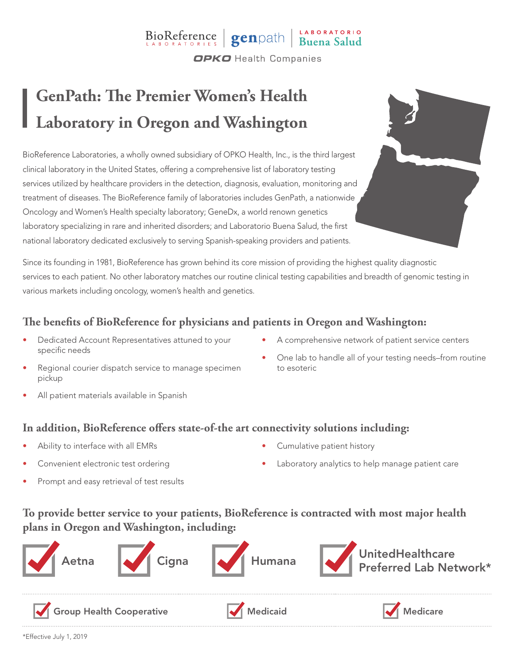# BioReference genpath Buena Salud

**OPKO** Health Companies

# **GenPath: The Premier Women's Health Laboratory in Oregon and Washington**

BioReference Laboratories, a wholly owned subsidiary of OPKO Health, Inc., is the third largest clinical laboratory in the United States, offering a comprehensive list of laboratory testing services utilized by healthcare providers in the detection, diagnosis, evaluation, monitoring and treatment of diseases. The BioReference family of laboratories includes GenPath, a nationwide Oncology and Women's Health specialty laboratory; GeneDx, a world renown genetics laboratory specializing in rare and inherited disorders; and Laboratorio Buena Salud, the first national laboratory dedicated exclusively to serving Spanish-speaking providers and patients.

Since its founding in 1981, BioReference has grown behind its core mission of providing the highest quality diagnostic services to each patient. No other laboratory matches our routine clinical testing capabilities and breadth of genomic testing in various markets including oncology, women's health and genetics.

### **The benefits of BioReference for physicians and patients in Oregon and Washington:**

- Dedicated Account Representatives attuned to your specific needs
- A comprehensive network of patient service centers

• One lab to handle all of your testing needs–from routine

- Regional courier dispatch service to manage specimen pickup
- All patient materials available in Spanish

#### **In addition, BioReference offers state-of-the art connectivity solutions including:**

- Ability to interface with all EMRs
- Convenient electronic test ordering
- Prompt and easy retrieval of test results

• Cumulative patient history

to esoteric

Laboratory analytics to help manage patient care

### **To provide better service to your patients, BioReference is contracted with most major health plans in Oregon and Washington, including:**